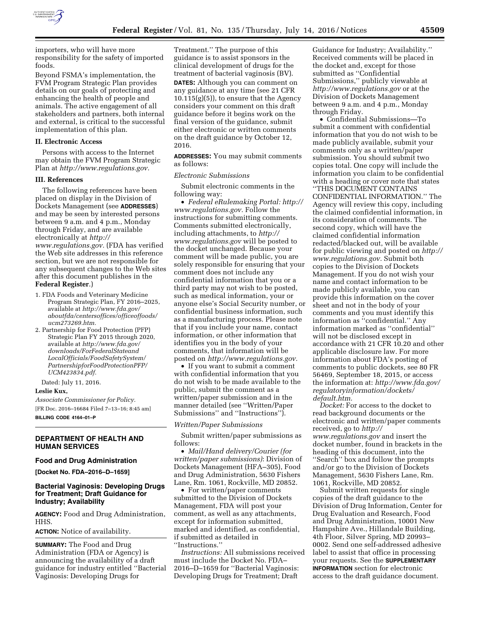

importers, who will have more responsibility for the safety of imported foods.

Beyond FSMA's implementation, the FVM Program Strategic Plan provides details on our goals of protecting and enhancing the health of people and animals. The active engagement of all stakeholders and partners, both internal and external, is critical to the successful implementation of this plan.

## **II. Electronic Access**

Persons with access to the Internet may obtain the FVM Program Strategic Plan at *[http://www.regulations.gov.](http://www.regulations.gov)* 

#### **III. References**

The following references have been placed on display in the Division of Dockets Management (see **ADDRESSES**) and may be seen by interested persons between 9 a.m. and 4 p.m., Monday through Friday, and are available electronically at *[http://](http://www.regulations.gov)*

*[www.regulations.gov.](http://www.regulations.gov)* (FDA has verified the Web site addresses in this reference section, but we are not responsible for any subsequent changes to the Web sites after this document publishes in the **Federal Register**.)

- 1. FDA Foods and Veterinary Medicine Program Strategic Plan, FY 2016–2025, available at *[http://www.fda.gov/](http://www.fda.gov/aboutfda/centersoffices/officeoffoods/ucm273269.htm) [aboutfda/centersoffices/officeoffoods/](http://www.fda.gov/aboutfda/centersoffices/officeoffoods/ucm273269.htm) [ucm273269.htm.](http://www.fda.gov/aboutfda/centersoffices/officeoffoods/ucm273269.htm)*
- 2. Partnership for Food Protection (PFP) Strategic Plan FY 2015 through 2020, available at *[http://www.fda.gov/](http://www.fda.gov/downloads/ForFederalStateandLocalOfficials/FoodSafetySystem/PartnershipforFoodProtectionPFP/UCM423834.pdf) [downloads/ForFederalStateand](http://www.fda.gov/downloads/ForFederalStateandLocalOfficials/FoodSafetySystem/PartnershipforFoodProtectionPFP/UCM423834.pdf) [LocalOfficials/FoodSafetySystem/](http://www.fda.gov/downloads/ForFederalStateandLocalOfficials/FoodSafetySystem/PartnershipforFoodProtectionPFP/UCM423834.pdf) [PartnershipforFoodProtectionPFP/](http://www.fda.gov/downloads/ForFederalStateandLocalOfficials/FoodSafetySystem/PartnershipforFoodProtectionPFP/UCM423834.pdf) [UCM423834.pdf.](http://www.fda.gov/downloads/ForFederalStateandLocalOfficials/FoodSafetySystem/PartnershipforFoodProtectionPFP/UCM423834.pdf)*

Dated: July 11, 2016.

# **Leslie Kux,**

*Associate Commissioner for Policy.*  [FR Doc. 2016–16684 Filed 7–13–16; 8:45 am] **BILLING CODE 4164–01–P** 

# **DEPARTMENT OF HEALTH AND HUMAN SERVICES**

# **Food and Drug Administration**

**[Docket No. FDA–2016–D–1659]** 

# **Bacterial Vaginosis: Developing Drugs for Treatment; Draft Guidance for Industry; Availability**

**AGENCY:** Food and Drug Administration, HHS.

**ACTION:** Notice of availability.

**SUMMARY:** The Food and Drug Administration (FDA or Agency) is announcing the availability of a draft guidance for industry entitled ''Bacterial Vaginosis: Developing Drugs for

Treatment.'' The purpose of this guidance is to assist sponsors in the clinical development of drugs for the treatment of bacterial vaginosis (BV). **DATES:** Although you can comment on any guidance at any time (see 21 CFR 10.115(g)(5)), to ensure that the Agency considers your comment on this draft guidance before it begins work on the final version of the guidance, submit either electronic or written comments on the draft guidance by October 12, 2016.

**ADDRESSES:** You may submit comments as follows:

#### *Electronic Submissions*

Submit electronic comments in the following way:

• *Federal eRulemaking Portal: [http://](http://www.regulations.gov)  [www.regulations.gov.](http://www.regulations.gov)* Follow the instructions for submitting comments. Comments submitted electronically, including attachments, to *[http://](http://www.regulations.gov) [www.regulations.gov](http://www.regulations.gov)* will be posted to the docket unchanged. Because your comment will be made public, you are solely responsible for ensuring that your comment does not include any confidential information that you or a third party may not wish to be posted, such as medical information, your or anyone else's Social Security number, or confidential business information, such as a manufacturing process. Please note that if you include your name, contact information, or other information that identifies you in the body of your comments, that information will be posted on *[http://www.regulations.gov.](http://www.regulations.gov)* 

• If you want to submit a comment with confidential information that you do not wish to be made available to the public, submit the comment as a written/paper submission and in the manner detailed (see ''Written/Paper Submissions'' and ''Instructions'').

## *Written/Paper Submissions*

Submit written/paper submissions as follows:

• *Mail/Hand delivery/Courier (for written/paper submissions)*: Division of Dockets Management (HFA–305), Food and Drug Administration, 5630 Fishers Lane, Rm. 1061, Rockville, MD 20852.

• For written/paper comments submitted to the Division of Dockets Management, FDA will post your comment, as well as any attachments, except for information submitted, marked and identified, as confidential, if submitted as detailed in ''Instructions.''

*Instructions:* All submissions received must include the Docket No. FDA– 2016–D–1659 for ''Bacterial Vaginosis: Developing Drugs for Treatment; Draft

Guidance for Industry; Availability.'' Received comments will be placed in the docket and, except for those submitted as ''Confidential Submissions,'' publicly viewable at *<http://www.regulations.gov>* or at the Division of Dockets Management between 9 a.m. and 4 p.m., Monday through Friday.

• Confidential Submissions—To submit a comment with confidential information that you do not wish to be made publicly available, submit your comments only as a written/paper submission. You should submit two copies total. One copy will include the information you claim to be confidential with a heading or cover note that states ''THIS DOCUMENT CONTAINS CONFIDENTIAL INFORMATION.'' The Agency will review this copy, including the claimed confidential information, in its consideration of comments. The second copy, which will have the claimed confidential information redacted/blacked out, will be available for public viewing and posted on *[http://](http://www.regulations.gov)  [www.regulations.gov.](http://www.regulations.gov)* Submit both copies to the Division of Dockets Management. If you do not wish your name and contact information to be made publicly available, you can provide this information on the cover sheet and not in the body of your comments and you must identify this information as ''confidential.'' Any information marked as ''confidential'' will not be disclosed except in accordance with 21 CFR 10.20 and other applicable disclosure law. For more information about FDA's posting of comments to public dockets, see 80 FR 56469, September 18, 2015, or access the information at: *[http://www.fda.gov/](http://www.fda.gov/regulatoryinformation/dockets/default.htm)  [regulatoryinformation/dockets/](http://www.fda.gov/regulatoryinformation/dockets/default.htm) [default.htm.](http://www.fda.gov/regulatoryinformation/dockets/default.htm)* 

*Docket:* For access to the docket to read background documents or the electronic and written/paper comments received, go to *[http://](http://www.regulations.gov) [www.regulations.gov](http://www.regulations.gov)* and insert the docket number, found in brackets in the heading of this document, into the ''Search'' box and follow the prompts and/or go to the Division of Dockets Management, 5630 Fishers Lane, Rm. 1061, Rockville, MD 20852.

Submit written requests for single copies of the draft guidance to the Division of Drug Information, Center for Drug Evaluation and Research, Food and Drug Administration, 10001 New Hampshire Ave., Hillandale Building, 4th Floor, Silver Spring, MD 20993– 0002. Send one self-addressed adhesive label to assist that office in processing your requests. See the **SUPPLEMENTARY INFORMATION** section for electronic access to the draft guidance document.